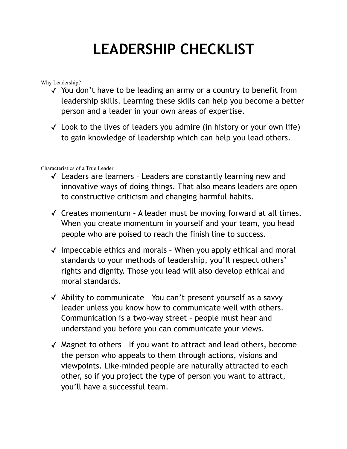## **LEADERSHIP CHECKLIST**

Why Leadership?

- ✓ You don't have to be leading an army or a country to benefit from leadership skills. Learning these skills can help you become a better person and a leader in your own areas of expertise.
- $\checkmark$  Look to the lives of leaders you admire (in history or your own life) to gain knowledge of leadership which can help you lead others.

Characteristics of a True Leader

- ✓ Leaders are learners Leaders are constantly learning new and innovative ways of doing things. That also means leaders are open to constructive criticism and changing harmful habits.
- ✓ Creates momentum A leader must be moving forward at all times. When you create momentum in yourself and your team, you head people who are poised to reach the finish line to success.
- ✓ Impeccable ethics and morals When you apply ethical and moral standards to your methods of leadership, you'll respect others' rights and dignity. Those you lead will also develop ethical and moral standards.
- ✓ Ability to communicate You can't present yourself as a savvy leader unless you know how to communicate well with others. Communication is a two-way street – people must hear and understand you before you can communicate your views.
- ✓ Magnet to others If you want to attract and lead others, become the person who appeals to them through actions, visions and viewpoints. Like-minded people are naturally attracted to each other, so if you project the type of person you want to attract, you'll have a successful team.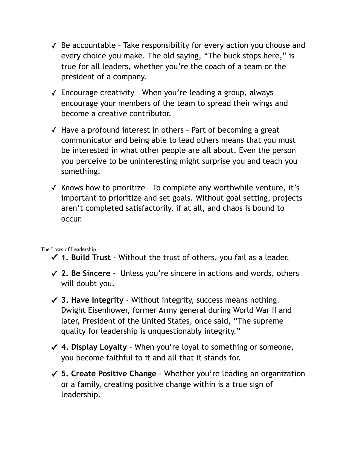- ✓ Be accountable Take responsibility for every action you choose and every choice you make. The old saying, "The buck stops here," is true for all leaders, whether you're the coach of a team or the president of a company.
- ✓ Encourage creativity When you're leading a group, always encourage your members of the team to spread their wings and become a creative contributor.
- ✓ Have a profound interest in others Part of becoming a great communicator and being able to lead others means that you must be interested in what other people are all about. Even the person you perceive to be uninteresting might surprise you and teach you something.
- $\checkmark$  Knows how to prioritize To complete any worthwhile venture, it's important to prioritize and set goals. Without goal setting, projects aren't completed satisfactorily, if at all, and chaos is bound to occur.

The Laws of Leadership

- **✓ 1. Build Trust**  Without the trust of others, you fail as a leader.
- **✓ 2. Be Sincere** Unless you're sincere in actions and words, others will doubt you.
- **✓ 3. Have Integrity**  Without integrity, success means nothing. Dwight Eisenhower, former Army general during World War II and later, President of the United States, once said, "The supreme quality for leadership is unquestionably integrity."
- **✓ 4. Display Loyalty** When you're loyal to something or someone, you become faithful to it and all that it stands for.
- **✓ 5. Create Positive Change** Whether you're leading an organization or a family, creating positive change within is a true sign of leadership.